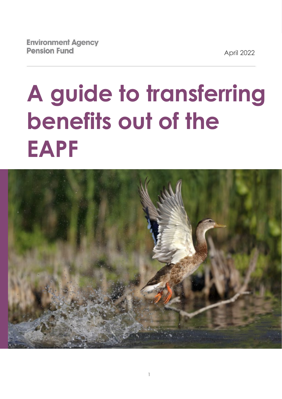April 2022

# **A guide to transferring benefits out of the EAPF**

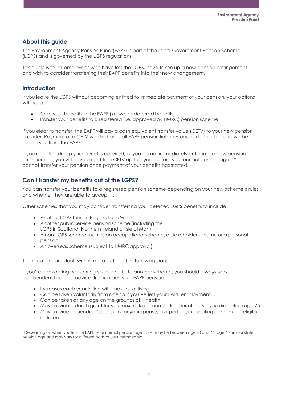# **About this guide**

The Environment Agency Pension Fund (EAPF) is part of the Local Government Pension Scheme (LGPS) and is governed by the LGPS regulations.

This guide is for all employees who have left the LGPS, have taken up a new pension arrangement and wish to consider transferring their EAPF benefits into their new arrangement.

## **Introduction**

If you leave the LGPS without becoming entitled to immediate payment of your pension, your options will be to:

- Keep your benefits in the EAPF (known as deferred benefits)
- Transfer your benefits to a registered (i.e. approved by HMRC) pension scheme

If you elect to transfer, the EAPF will pay a cash equivalent transfer value (CETV) to your new pension provider. Payment of a CETV will discharge all EAPF pension liabilities and no further benefits will be due to you from the EAPF.

If you decide to keep your benefits deferred, or you do not immediately enter into a new pension arrangement, you will have a right to a CETV up to 1 year before your normal pension age<sup>1</sup>. You cannot transfer your pension once payment of your benefits has started.

# **Can I transfer my benefits out of the LGPS?**

You can transfer your benefits to a registered pension scheme depending on your new scheme's rules and whether they are able to accept it.

Other schemes that you may consider transferring your deferred LGPS benefits to include:

- Another LGPS fund in England andWales
- Another public service pension scheme (including the LGPS in Scotland, Northern Ireland or Isle of Man)
- A non-LGPS scheme such as an occupational scheme, a stakeholder scheme or a personal pension
- An overseas scheme (subject to HMRC approval)

These options are dealt with in more detail in the following pages.

If you're considering transferring your benefits to another scheme, you should always seek independent financial advice. Remember, your EAPF pension:

- Increases each year in line with the cost of living
- Can be taken voluntarily from age 55 if you've left your EAPF employment
- Can be taken at any age on the grounds of ill health
- May provide a death grant for your next of kin or nominated beneficiary if you die before age 75
- May provide dependant's pensions for your spouse, civil partner, cohabiting partner and eligible children

<sup>1</sup> Depending on when you left the EAPF, your normal pension age (NPA) may be between age 60 and 65, age 65 or your state pension age and may vary for different parts of your membership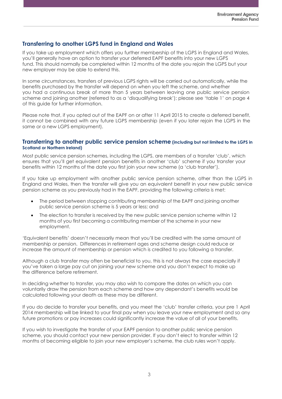## **Transferring to another LGPS fund in England and Wales**

If you take up employment which offers you further membership of the LGPS in England and Wales, you'll generally have an option to transfer your deferred EAPF benefits into your new LGPS fund. This should normally be completed within 12 months of the date you rejoin the LGPS but your new employer may be able to extend this.

In some circumstances, transfers of previous LGPS rights will be carried out automatically, while the benefits purchased by the transfer will depend on when you left the scheme, and whether you had a continuous break of more than 5 years between leaving one public service pension scheme and joining another (referred to as a 'disqualifying break'); please see 'table 1' on page 4 of this guide for further information.

Please note that, if you opted out of the EAPF on or after 11 April 2015 to create a deferred benefit, it cannot be combined with any future LGPS membership (even if you later rejoin the LGPS in the same or a new LGPS employment).

#### **Transferring to another public service pension scheme (including but not limited to the LGPS in Scotland or Northern Ireland)**

Most public service pension schemes, including the LGPS, are members of a transfer 'club', which ensures that you'll get equivalent pension benefits in another 'club' scheme if you transfer your benefits within 12 months of the date you first join your new scheme (a 'club transfer').

If you take up employment with another public service pension scheme, other than the LGPS in England and Wales, then the transfer will give you an equivalent benefit in your new public service pension scheme as you previously had in the EAPF, providing the following criteria is met:

- The period between stopping contributing membership of the EAPF and joining another public service pension scheme is 5 years or less; and
- The election to transfer is received by the new public service pension scheme within 12 months of you first becoming a contributing member of the scheme in your new employment.

'Equivalent benefits' doesn't necessarily mean that you'll be credited with the same amount of membership or pension. Differences in retirement ages and scheme design could reduce or increase the amount of membership or pension which is credited to you following a transfer.

Although a club transfer may often be beneficial to you, this is not always the case especially if you've taken a large pay cut on joining your new scheme and you don't expect to make up the difference before retirement.

In deciding whether to transfer, you may also wish to compare the dates on which you can voluntarily draw the pension from each scheme and how any dependant's benefits would be calculated following your death as these may be different.

If you do decide to transfer your benefits, and you meet the 'club' transfer criteria, your pre 1 April 2014 membership will be linked to your final pay when you leave your new employment and so any future promotions or pay increases could significantly increase the value of all of your benefits.

If you wish to investigate the transfer of your EAPF pension to another public service pension scheme, you should contact your new pension provider. If you don't elect to transfer within 12 months of becoming eligible to join your new employer's scheme, the club rules won't apply.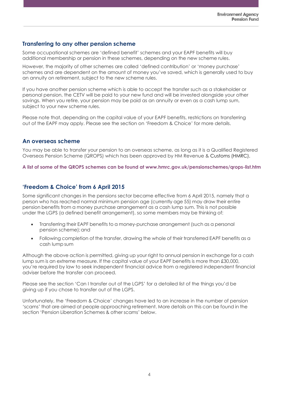#### **Transferring to any other pension scheme**

Some occupational schemes are 'defined benefit' schemes and your EAPF benefits will buy additional membership or pension in these schemes, depending on the new scheme rules.

However, the majority of other schemes are called 'defined contribution' or 'money purchase' schemes and are dependent on the amount of money you've saved, which is generally used to buy an annuity on retirement, subject to the new scheme rules.

If you have another pension scheme which is able to accept the transfer such as a stakeholder or personal pension, the CETV will be paid to your new fund and will be invested alongside your other savings. When you retire, your pension may be paid as an annuity or even as a cash lump sum, subject to your new scheme rules.

Please note that, depending on the capital value of your EAPF benefits, restrictions on transferring out of the EAPF may apply. Please see the section on 'Freedom & Choice' for more details.

#### **An overseas scheme**

You may be able to transfer your pension to an overseas scheme, as long as it is a Qualified Registered Overseas Pension Scheme (QROPS) which has been approved by HM Revenue & Customs (HMRC).

**A list of some of the QROPS schemes can be found at www.hmrc.gov.uk/pensionschemes/qrops-list.htm**

### **'Freedom & Choice' from 6 April 2015**

Some significant changes in the pensions sector became effective from 6 April 2015, namely that a person who has reached normal minimum pension age (currently age 55) may draw their entire pension benefits from a money purchase arrangement as a cash lump sum. This is not possible under the LGPS (a defined benefit arrangement), so some members may be thinking of:

- Transferring their EAPF benefits to a money-purchase arrangement (such as a personal pension scheme);and
- Following completion of the transfer, drawing the whole of their transferred EAPF benefits as a cash lump sum

Although the above action is permitted, giving up your right to annual pension in exchange for a cash lump sum is an extreme measure. If the capital value of your EAPF benefits is more than £30,000, you're required by law to seek independent financial advice from a registered independent financial adviser before the transfer can proceed.

Please see the section 'Can I transfer out of the LGPS' for a detailed list of the things you'd be giving up if you chose to transfer out of the LGPS.

Unfortunately, the 'Freedom & Choice' changes have led to an increase in the number of pension 'scams' that are aimed at people approaching retirement. More details on this can be found in the section 'Pension Liberation Schemes & other scams' below.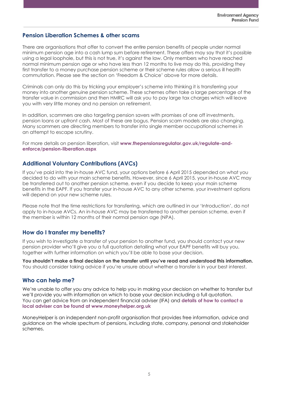# **Pension Liberation Schemes & other scams**

There are organisations that offer to convert the entire pension benefits of people under normal minimum pension age into a cash lump sum before retirement. These offers may say that it's possible using a legal loophole, but this is not true, it's against the law. Only members who have reached normal minimum pension age or who have less than 12 months to live may do this, providing they first transfer to a money purchase pension scheme or their scheme rules allow a serious ill health commutation. Please see the section on 'Freedom & Choice' above for more details.

Criminals can only do this by tricking your employer's scheme into thinking it is transferring your money into another genuine pension scheme. These schemes often take a large percentage of the transfer value in commission and then HMRC will ask you to pay large tax charges which will leave you with very little money and no pension on retirement.

In addition, scammers are also targeting pension savers with promises of one off investments, pension loans or upfront cash. Most of these are bogus. Pension scam models are also changing. Many scammers are directing members to transfer into single member occupational schemes in an attempt to escape scrutiny.

For more details on pension liberation, visit [www.thepensionsregulator.gov.uk/regulate-and](http://www.thepensionsregulator.gov.uk/regulate-and-enforce/pension-liberation.aspx)**[enforce/pension-liberation.aspx](http://www.thepensionsregulator.gov.uk/regulate-and-enforce/pension-liberation.aspx)**

# **Additional Voluntary Contributions (AVCs)**

If you've paid into the in-house AVC fund, your options before 6 April 2015 depended on what you decided to do with your main scheme benefits. However, since 6 April 2015, your in-house AVC may be transferred out to another pension scheme, even if you decide to keep your main scheme benefits in the EAPF. If you transfer your in-house AVC to any other scheme, your investment options will depend on your new scheme rules.

Please note that the time restrictions for transferring, which are outlined in our 'Introduction', do not apply to in-house AVCs. An in-house AVC may be transferred to another pension scheme, even if the member is within 12 months of their normal pension age (NPA).

### **How do I transfer my benefits?**

If you wish to investigate a transfer of your pension to another fund, you should contact your new pension provider who'll give you a full quotation detailing what your EAPF benefits will buy you, together with further information on which you'll be able to base your decision.

**You shouldn't make a final decision on the transfer until you've read and understood this information.** You should consider taking advice if you're unsure about whether a transfer is in your best interest.

### **Who can help me?**

We're unable to offer you any advice to help you in making your decision on whether to transfer but we'll provide you with information on which to base your decision including a full quotation. You can get advice from an independent financial adviser (IFA) and **[details of how to contact a](https://www.moneyhelper.org.uk/en/getting-help-and-advice/financial-advisers/choosing-a-financial-adviser)  [local adviser can be found at www.moneyhelper.org.uk](https://www.moneyhelper.org.uk/en/getting-help-and-advice/financial-advisers/choosing-a-financial-adviser)**

MoneyHelper is an independent non-profit organisation that provides free information, advice and guidance on the whole spectrum of pensions, including state, company, personal and stakeholder schemes.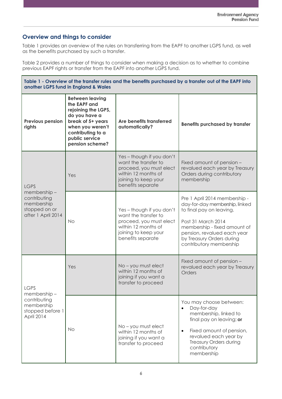# **Overview and things to consider**

Table 1 provides an overview of the rules on transferring from the EAPF to another LGPS fund, as well as the benefits purchased by such a transfer.

Table 2 provides a number of things to consider when making a decision as to whether to combine previous EAPF rights or transfer from the EAPF into another LGPS fund.

| Table 1 - Overview of the transfer rules and the benefits purchased by a transfer out of the EAPF into<br>another LGPS fund in England & Wales |                                                                                                                                                                                   |                                                                                                                                                  |                                                                                                                                                                                                                                          |  |
|------------------------------------------------------------------------------------------------------------------------------------------------|-----------------------------------------------------------------------------------------------------------------------------------------------------------------------------------|--------------------------------------------------------------------------------------------------------------------------------------------------|------------------------------------------------------------------------------------------------------------------------------------------------------------------------------------------------------------------------------------------|--|
| <b>Previous pension</b><br>rights                                                                                                              | <b>Between leaving</b><br>the EAPF and<br>rejoining the LGPS,<br>do you have a<br>break of 5+ years<br>when you weren't<br>contributing to a<br>public service<br>pension scheme? | Are benefits transferred<br>automatically?                                                                                                       | <b>Benefits purchased by transfer</b>                                                                                                                                                                                                    |  |
| <b>LGPS</b><br>membership-<br>contributing<br>membership<br>stopped on or<br>after 1 April 2014                                                | Yes                                                                                                                                                                               | Yes - though if you don't<br>want the transfer to<br>proceed, you must elect<br>within 12 months of<br>joining to keep your<br>benefits separate | Fixed amount of pension -<br>revalued each year by Treasury<br>Orders during contributory<br>membership                                                                                                                                  |  |
|                                                                                                                                                | <b>No</b>                                                                                                                                                                         | Yes - though if you don't<br>want the transfer to<br>proceed, you must elect<br>within 12 months of<br>joining to keep your<br>benefits separate | Pre 1 April 2014 membership -<br>day-for-day membership, linked<br>to final pay on leaving.<br>Post 31 March 2014<br>membership - fixed amount of<br>pension, revalued each year<br>by Treasury Orders during<br>contributory membership |  |
| <b>LGPS</b><br>membership-<br>contributing<br>membership<br>stopped before 1<br>April 2014                                                     | Yes                                                                                                                                                                               | No - you must elect<br>within 12 months of<br>joining if you want a<br>transfer to proceed                                                       | Fixed amount of pension -<br>revalued each year by Treasury<br>Orders                                                                                                                                                                    |  |
|                                                                                                                                                | <b>No</b>                                                                                                                                                                         | No - you must elect<br>within 12 months of<br>joining if you want a<br>transfer to proceed                                                       | You may choose between:<br>Day-for-day<br>$\bullet$<br>membership, linked to<br>final pay on leaving; or<br>Fixed amount of pension,<br>$\bullet$<br>revalued each year by<br>Treasury Orders during<br>contributory<br>membership       |  |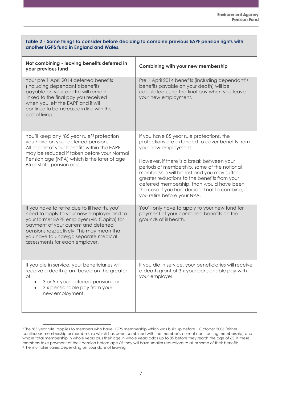| Table 2 - Some things to consider before deciding to combine previous EAPF pension rights with<br>another LGPS fund in England and Wales.                                                                                                                                                                 |                                                                                                                                                                                                                                                                                                                                                                                                                                              |  |  |
|-----------------------------------------------------------------------------------------------------------------------------------------------------------------------------------------------------------------------------------------------------------------------------------------------------------|----------------------------------------------------------------------------------------------------------------------------------------------------------------------------------------------------------------------------------------------------------------------------------------------------------------------------------------------------------------------------------------------------------------------------------------------|--|--|
| Not combining - leaving benefits deferred in<br>your previous fund                                                                                                                                                                                                                                        | Combining with your new membership                                                                                                                                                                                                                                                                                                                                                                                                           |  |  |
| Your pre 1 April 2014 deferred benefits<br>(including dependant's benefits<br>payable on your death) will remain<br>linked to the final pay you received<br>when you left the EAPF and it will<br>continue to be increased in line with the<br>cost of living.                                            | Pre 1 April 2014 benefits (including dependant's<br>benefits payable on your death) will be<br>calculated using the final pay when you leave<br>your new employment.                                                                                                                                                                                                                                                                         |  |  |
| You'll keep any '85 year rule' <sup>2</sup> protection<br>you have on your deferred pension.<br>All or part of your benefits within the EAPF<br>may be reduced if taken before your Normal<br>Pension age (NPA) which is the later of age<br>65 or state pension age.                                     | If you have 85 year rule protections, the<br>protections are extended to cover benefits from<br>your new employment.<br>However, if there is a break between your<br>periods of membership, some of the notional<br>membership will be lost and you may suffer<br>greater reductions to the benefits from your<br>deferred membership, than would have been<br>the case if you had decided not to combine, if<br>you retire before your NPA. |  |  |
| If you have to retire due to ill health, you'll<br>need to apply to your new employer and to<br>your former EAPF employer (via Capita) for<br>payment of your current and deferred<br>pensions respectively. This may mean that<br>you have to undergo separate medical<br>assessments for each employer. | You'll only have to apply to your new fund for<br>payment of your combined benefits on the<br>grounds of ill health.                                                                                                                                                                                                                                                                                                                         |  |  |
| If you die in service, your beneficiaries will<br>receive a death grant based on the greater<br>of:<br>3 or 5 x your deferred pension <sup>3</sup> ; or<br>3 x pensionable pay from your<br>new employment.                                                                                               | If you die in service, your beneficiaries will receive<br>a death grant of 3 x your pensionable pay with<br>your employer.                                                                                                                                                                                                                                                                                                                   |  |  |

<sup>2</sup> The '85 year rule' applies to members who have LGPS membership which was built up before 1 October 2006 (either continuous membership or membership which has been combined with the member's current contributing membership) and whose total membership in whole years plus their age in whole years adds up to 85 before they reach the age of 65. If these members take payment of their pension before age 65 they will have smaller reductions to all or some of their benefits. <sup>3</sup> The multiplier varies depending on your date of leaving